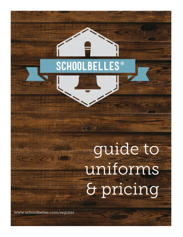## **SCHOOLBELLES<sup>®</sup>**

非常的

## guide to uniforms & pricing

www.schoolbelles.com/register

重新新的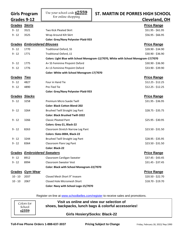| <b>Girls Program</b> |                                    | Use your school code $\underline{s}2559$<br>For online shopping | ST. MARTIN DE PORRES HIGH SCHOOL                                                    |
|----------------------|------------------------------------|-----------------------------------------------------------------|-------------------------------------------------------------------------------------|
| Grades 9-12          |                                    |                                                                 | Cleveland, OH                                                                       |
| Grades Skirts        |                                    |                                                                 | <b>Price Range</b>                                                                  |
| $9 - 12$             | 3521                               | <b>Two Kick Pleated Skirt</b>                                   | \$51.95 - \$61.95                                                                   |
| $9 - 12$             | 3525                               | Wrap Around Kilt Skirt                                          | $$56.95 - $66.95$                                                                   |
|                      |                                    | <b>Color: Grey/Navy Polyester Plaid-933</b>                     |                                                                                     |
| Grades               | <b>Embroidered Blouses</b>         |                                                                 | <b>Price Range</b>                                                                  |
| $9 - 12$             | 1770                               | <b>Traditional Oxford, SS</b>                                   | \$28.90 - \$34.90                                                                   |
| $9 - 12$             | 1771                               | <b>Traditional Oxford, LS</b>                                   | \$30.90 - \$36.90                                                                   |
|                      |                                    |                                                                 | Colors: Light Blue with School Monogram-12/7070, White with School Monogram-17/7070 |
| $9 - 12$             | 1775                               | A+ SS Feminine Pinpoint Oxford                                  | \$30.90 - \$36.90                                                                   |
| $9 - 12$             | 1776                               | A+ LS Feminine Pinpoint Oxford                                  | \$33.90 - \$39.90                                                                   |
|                      |                                    | Color: White with School Monogram-17/7070                       |                                                                                     |
| <b>Grades Ties</b>   |                                    |                                                                 | <b>Price Range</b>                                                                  |
| $9 - 12$             | 4827                               | Four in Hand Tie                                                | $$12.25 - $12.25$                                                                   |
| $9 - 12$             | 4890                               | Pre-Tied Tie                                                    | $$12.25 - $12.25$                                                                   |
|                      |                                    | <b>Color: Grey/Navy Polyester Plaid-933</b>                     |                                                                                     |
| <b>Grades</b>        | <u>Slacks</u>                      |                                                                 | <b>Price Range</b>                                                                  |
| $9 - 12$             | 3258                               | Premium Micro Suede Twill                                       | \$31.95 - \$36.95                                                                   |
|                      |                                    | <b>Color: Black Cotton Blend-202</b>                            |                                                                                     |
| $9 - 12$             | 3264                               | <b>Brushed Twill Straight Leg Pant</b>                          | $$28.75 - $35.75$                                                                   |
|                      |                                    | <b>Color: Black Brushed Twill-1022</b>                          |                                                                                     |
| $9 - 12$             | 3266                               | <b>Classic Pleated Pant</b>                                     | $$25.95 - $30.95$                                                                   |
|                      |                                    | Colors: Grey-21, Black-22                                       |                                                                                     |
| $9 - 12$             | 8263                               | Classroom Stretch Narrow Leg Pant                               | $$23.50 - $31.50$                                                                   |
|                      |                                    | Colors: Slate-0004, Black-22                                    |                                                                                     |
| $9 - 12$             | 3244                               | <b>Brushed Twill Straight Leg Pant</b>                          | $$28.95 - $35.95$                                                                   |
| 9 - 12               | 8364                               | Classroom Flare Leg Pant                                        | \$23.50 - \$31.50                                                                   |
|                      |                                    | <b>Color: Black-22</b>                                          |                                                                                     |
|                      | <b>Grades Embroidered Sweaters</b> |                                                                 | <b>Price Range</b>                                                                  |
| $9 - 12$             | 8912                               | Classroom Cardigan Sweater                                      | \$37.45 - \$43.45                                                                   |
| $9 - 12$             | 8994                               | <b>Classroom Sweater Vest</b>                                   | $$31.45 - $37.45$                                                                   |
|                      |                                    | Color: Black with School Monogram-22/7070                       |                                                                                     |
|                      | <b>Grades Gym Wear</b>             |                                                                 | <b>Price Range</b>                                                                  |
| $10 - 10$            | 2037                               | Closed Mesh Short 9" Inseam                                     | \$20.50 - \$22.70                                                                   |
| $10 - 10$            | 2067                               | Closed Hole Micromesh Short                                     | \$18.70 - \$19.70                                                                   |
|                      |                                    | Color: Navy with School Logo-15/7070                            |                                                                                     |

Register on-line at [www.schoolbelles.com/register](http://www.schoolbelles.com/register) to receive sales and promotions.

| Colors for<br>School | Visit us online and view our selection of<br>shoes, backpacks, lunch bags & colorful accessories! |  |
|----------------------|---------------------------------------------------------------------------------------------------|--|
| s2559                | <b>Girls Hosiery/Socks: Black-22</b>                                                              |  |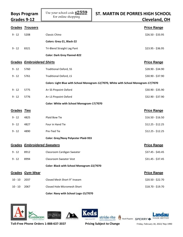| <b>Boys Program</b><br>Grades 9-12 |                                    | Use your school code <b>S2559</b><br>For online shopping | <b>ST. MARTIN DE PORRES HIGH SCHOOL</b><br><b>Cleveland, OH</b>                     |  |
|------------------------------------|------------------------------------|----------------------------------------------------------|-------------------------------------------------------------------------------------|--|
|                                    | <b>Grades Trousers</b>             |                                                          | <b>Price Range</b>                                                                  |  |
| $9 - 12$                           | 5208                               | Classic Chino                                            | $$26.50 - $33.95$                                                                   |  |
|                                    |                                    | Colors: Grey-21, Black-22                                |                                                                                     |  |
| $9 - 12$                           | 8321                               | Tri-Blend Straight Leg Pant                              | $$23.95 - $36.95$                                                                   |  |
|                                    |                                    | <b>Color: Dark Grey Flannel-822</b>                      |                                                                                     |  |
|                                    | <b>Grades Embroidered Shirts</b>   |                                                          | <b>Price Range</b>                                                                  |  |
| $9 - 12$                           | 5760                               | <b>Traditional Oxford, SS</b>                            | \$28.90 - \$34.90                                                                   |  |
| $9 - 12$                           | 5761                               | <b>Traditional Oxford, LS</b>                            | \$30.90 - \$37.90                                                                   |  |
|                                    |                                    |                                                          | Colors: Light Blue with School Monogram-12/7070, White with School Monogram-17/7070 |  |
| $9 - 12$                           | 5775                               | A+ SS Pinpoint Oxford                                    | $$30.90 - $35.90$                                                                   |  |
| $9 - 12$                           | 5776                               | A+ LS Pinpoint Oxford                                    | \$32.90 - \$37.90                                                                   |  |
|                                    |                                    | Color: White with School Monogram-17/7070                |                                                                                     |  |
| <b>Grades Ties</b>                 |                                    |                                                          | <b>Price Range</b>                                                                  |  |
| $9 - 12$                           | 4825                               | Plaid Bow Tie                                            | $$16.50 - $16.50$                                                                   |  |
| $9 - 12$                           | 4827                               | Four in Hand Tie                                         | $$12.25 - $12.25$                                                                   |  |
| $9 - 12$                           | 4890                               | Pre-Tied Tie                                             | $$12.25 - $12.25$                                                                   |  |
|                                    |                                    | <b>Color: Grey/Navy Polyester Plaid-933</b>              |                                                                                     |  |
|                                    | <b>Grades Embroidered Sweaters</b> |                                                          | <b>Price Range</b>                                                                  |  |
| $9 - 12$                           | 8912                               | Classroom Cardigan Sweater                               | \$37.45 - \$43.45                                                                   |  |
| $9 - 12$                           | 8994                               | <b>Classroom Sweater Vest</b>                            | $$31.45 - $37.45$                                                                   |  |
|                                    |                                    | Color: Black with School Monogram-22/7070                |                                                                                     |  |
|                                    | Grades Gym Wear                    |                                                          | <b>Price Range</b>                                                                  |  |
| $10 - 10$                          | 2037                               | Closed Mesh Short 9" Inseam                              | \$20.50 - \$22.70                                                                   |  |
| $10 - 10$                          | 2067                               | Closed Hole Micromesh Short                              | \$18.70 - \$19.70                                                                   |  |

 $\overline{\mathbf{u}}$ 

**Color: Navy with School Logo-15/7070**